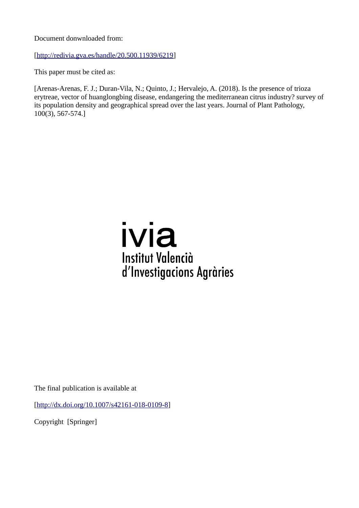Document donwnloaded from:

[[http://redivia.gva.es/handle/20.500.11939/6219\]](http://redivia.gva.es/handle/20.500.11939/6219)

This paper must be cited as:

[Arenas-Arenas, F. J.; Duran-Vila, N.; Quinto, J.; Hervalejo, A. (2018). Is the presence of trioza erytreae, vector of huanglongbing disease, endangering the mediterranean citrus industry? survey of its population density and geographical spread over the last years. Journal of Plant Pathology, 100(3), 567-574.]

# ivia **Institut Valencià** d'Investigacions Agràries

The final publication is available at

[[http://dx.doi.org/10.1007/s42161-018-0109-8\]](http://dx.doi.org/10.1007/s42161-018-0109-8)

Copyright [Springer]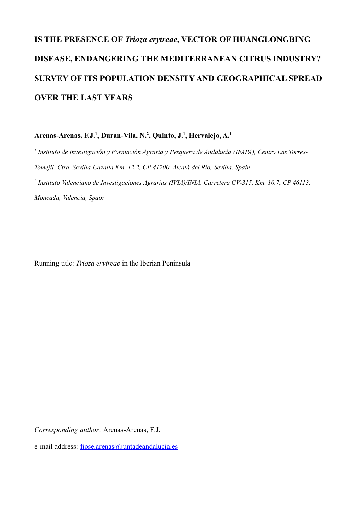## **IS THE PRESENCE OF** *Trioza erytreae***, VECTOR OF HUANGLONGBING DISEASE, ENDANGERING THE MEDITERRANEAN CITRUS INDUSTRY? SURVEY OF ITS POPULATION DENSITY AND GEOGRAPHICAL SPREAD OVER THE LAST YEARS**

**Arenas-Arenas, F.J.<sup>1</sup> , Duran-Vila, N.<sup>2</sup> , Quinto, J.<sup>1</sup> , Hervalejo, A.<sup>1</sup>**

*1 Instituto de Investigación y Formación Agraria y Pesquera de Andalucía (IFAPA), Centro Las Torres-Tomejil. Ctra. Sevilla-Cazalla Km. 12.2, CP 41200. Alcalá del Río, Sevilla, Spain 2 Instituto Valenciano de Investigaciones Agrarias (IVIA)/INIA. Carretera CV-315, Km. 10.7, CP 46113.*

*Moncada, Valencia, Spain*

Running title: *Trioza erytreae* in the Iberian Peninsula

*Corresponding author*: Arenas-Arenas, F.J.

e-mail address: [fjose.arenas@juntadeandalucia.es](mailto:fjose.arenas@juntadeandalucia.es)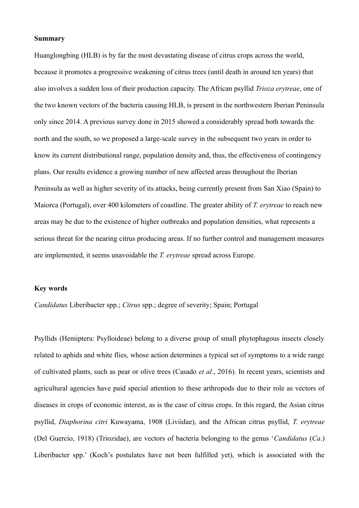#### **Summary**

Huanglongbing (HLB) is by far the most devastating disease of citrus crops across the world, because it promotes a progressive weakening of citrus trees (until death in around ten years) that also involves a sudden loss of their production capacity. The African psyllid *Trioza erytreae*, one of the two known vectors of the bacteria causing HLB, is present in the northwestern Iberian Peninsula only since 2014. A previous survey done in 2015 showed a considerably spread both towards the north and the south, so we proposed a large-scale survey in the subsequent two years in order to know its current distributional range, population density and, thus, the effectiveness of contingency plans. Our results evidence a growing number of new affected areas throughout the Iberian Peninsula as well as higher severity of its attacks, being currently present from San Xiao (Spain) to Maiorca (Portugal), over 400 kilometers of coastline. The greater ability of *T. erytreae* to reach new areas may be due to the existence of higher outbreaks and population densities, what represents a serious threat for the nearing citrus producing areas. If no further control and management measures are implemented, it seems unavoidable the *T. erytreae* spread across Europe.

### **Key words**

*Candidatus* Liberibacter spp.; *Citrus* spp.; degree of severity; Spain; Portugal

Psyllids (Hemiptera: Psylloideae) belong to a diverse group of small phytophagous insects closely related to aphids and white flies, whose action determines a typical set of symptoms to a wide range of cultivated plants, such as pear or olive trees (Casado *et al*., 2016). In recent years, scientists and agricultural agencies have paid special attention to these arthropods due to their role as vectors of diseases in crops of economic interest, as is the case of citrus crops. In this regard, the Asian citrus psyllid, *Diaphorina citri* Kuwayama, 1908 (Liviidae), and the African citrus psyllid, *T. erytreae* (Del Guercio, 1918) (Triozidae), are vectors of bacteria belonging to the genus '*Candidatus* (*Ca*.) Liberibacter spp.' (Koch's postulates have not been fulfilled yet), which is associated with the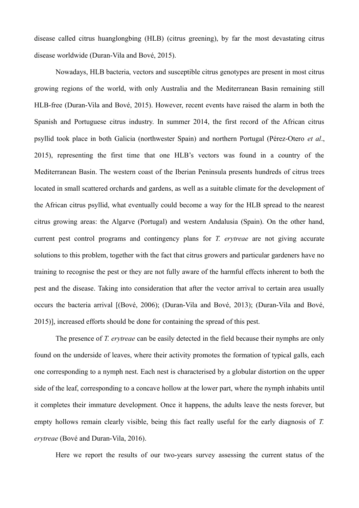disease called citrus huanglongbing (HLB) (citrus greening), by far the most devastating citrus disease worldwide (Duran-Vila and Bové, 2015).

Nowadays, HLB bacteria, vectors and susceptible citrus genotypes are present in most citrus growing regions of the world, with only Australia and the Mediterranean Basin remaining still HLB-free (Duran-Vila and Bové, 2015). However, recent events have raised the alarm in both the Spanish and Portuguese citrus industry. In summer 2014, the first record of the African citrus psyllid took place in both Galicia (northwester Spain) and northern Portugal (Pérez-Otero *et al*., 2015), representing the first time that one HLB's vectors was found in a country of the Mediterranean Basin. The western coast of the Iberian Peninsula presents hundreds of citrus trees located in small scattered orchards and gardens, as well as a suitable climate for the development of the African citrus psyllid, what eventually could become a way for the HLB spread to the nearest citrus growing areas: the Algarve (Portugal) and western Andalusia (Spain). On the other hand, current pest control programs and contingency plans for *T. erytreae* are not giving accurate solutions to this problem, together with the fact that citrus growers and particular gardeners have no training to recognise the pest or they are not fully aware of the harmful effects inherent to both the pest and the disease. Taking into consideration that after the vector arrival to certain area usually occurs the bacteria arrival [(Bové, 2006); (Duran-Vila and Bové, 2013); (Duran-Vila and Bové, 2015)], increased efforts should be done for containing the spread of this pest.

The presence of *T. erytreae* can be easily detected in the field because their nymphs are only found on the underside of leaves, where their activity promotes the formation of typical galls, each one corresponding to a nymph nest. Each nest is characterised by a globular distortion on the upper side of the leaf, corresponding to a concave hollow at the lower part, where the nymph inhabits until it completes their immature development. Once it happens, the adults leave the nests forever, but empty hollows remain clearly visible, being this fact really useful for the early diagnosis of *T. erytreae* (Bové and Duran-Vila, 2016).

Here we report the results of our two-years survey assessing the current status of the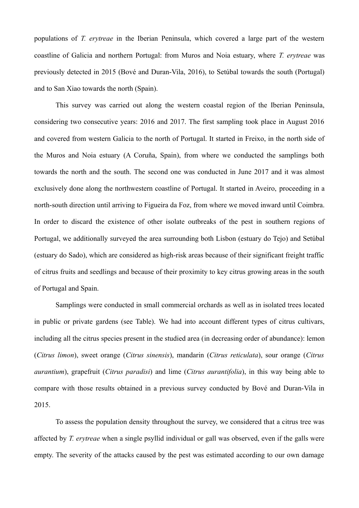populations of *T. erytreae* in the Iberian Peninsula, which covered a large part of the western coastline of Galicia and northern Portugal: from Muros and Noia estuary, where *T. erytreae* was previously detected in 2015 (Bové and Duran-Vila, 2016), to Setúbal towards the south (Portugal) and to San Xiao towards the north (Spain).

This survey was carried out along the western coastal region of the Iberian Peninsula, considering two consecutive years: 2016 and 2017. The first sampling took place in August 2016 and covered from western Galicia to the north of Portugal. It started in Freixo, in the north side of the Muros and Noia estuary (A Coruña, Spain), from where we conducted the samplings both towards the north and the south. The second one was conducted in June 2017 and it was almost exclusively done along the northwestern coastline of Portugal. It started in Aveiro, proceeding in a north-south direction until arriving to Figueira da Foz, from where we moved inward until Coimbra. In order to discard the existence of other isolate outbreaks of the pest in southern regions of Portugal, we additionally surveyed the area surrounding both Lisbon (estuary do Tejo) and Setúbal (estuary do Sado), which are considered as high-risk areas because of their significant freight traffic of citrus fruits and seedlings and because of their proximity to key citrus growing areas in the south of Portugal and Spain.

Samplings were conducted in small commercial orchards as well as in isolated trees located in public or private gardens (see Table). We had into account different types of citrus cultivars, including all the citrus species present in the studied area (in decreasing order of abundance): lemon (*Citrus limon*), sweet orange (*Citrus sinensis*), mandarin (*Citrus reticulata*), sour orange (*Citrus aurantium*), grapefruit (*Citrus paradisi*) and lime (*Citrus aurantifolia*), in this way being able to compare with those results obtained in a previous survey conducted by Bové and Duran-Vila in 2015.

To assess the population density throughout the survey, we considered that a citrus tree was affected by *T. erytreae* when a single psyllid individual or gall was observed, even if the galls were empty. The severity of the attacks caused by the pest was estimated according to our own damage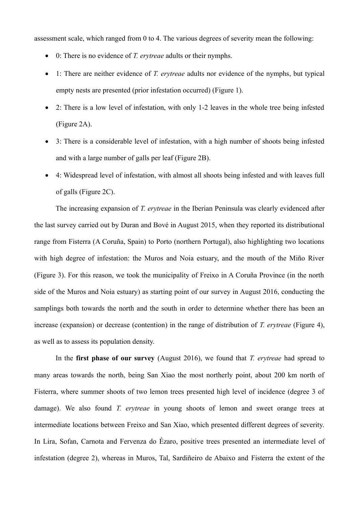assessment scale, which ranged from 0 to 4. The various degrees of severity mean the following:

- 0: There is no evidence of *T. erytreae* adults or their nymphs.
- 1: There are neither evidence of *T. erytreae* adults nor evidence of the nymphs, but typical empty nests are presented (prior infestation occurred) (Figure 1).
- 2: There is a low level of infestation, with only 1-2 leaves in the whole tree being infested (Figure 2A).
- 3: There is a considerable level of infestation, with a high number of shoots being infested and with a large number of galls per leaf (Figure 2B).
- 4: Widespread level of infestation, with almost all shoots being infested and with leaves full of galls (Figure 2C).

The increasing expansion of *T. erytreae* in the Iberian Peninsula was clearly evidenced after the last survey carried out by Duran and Bové in August 2015, when they reported its distributional range from Fisterra (A Coruña, Spain) to Porto (northern Portugal), also highlighting two locations with high degree of infestation: the Muros and Noia estuary, and the mouth of the Miño River (Figure 3). For this reason, we took the municipality of Freixo in A Coruña Province (in the north side of the Muros and Noia estuary) as starting point of our survey in August 2016, conducting the samplings both towards the north and the south in order to determine whether there has been an increase (expansion) or decrease (contention) in the range of distribution of *T. erytreae* (Figure 4), as well as to assess its population density.

In the **first phase of our survey** (August 2016), we found that *T. erytreae* had spread to many areas towards the north, being San Xiao the most northerly point, about 200 km north of Fisterra, where summer shoots of two lemon trees presented high level of incidence (degree 3 of damage). We also found *T. erytreae* in young shoots of lemon and sweet orange trees at intermediate locations between Freixo and San Xiao, which presented different degrees of severity. In Lira, Sofan, Carnota and Fervenza do Ézaro, positive trees presented an intermediate level of infestation (degree 2), whereas in Muros, Tal, Sardiñeiro de Abaixo and Fisterra the extent of the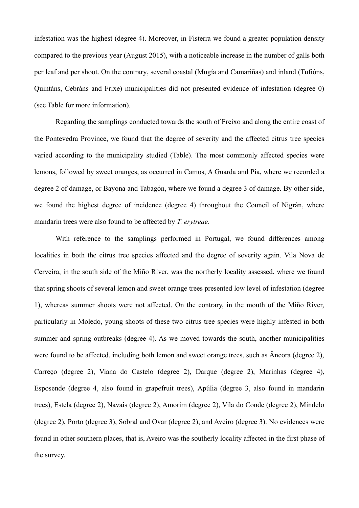infestation was the highest (degree 4). Moreover, in Fisterra we found a greater population density compared to the previous year (August 2015), with a noticeable increase in the number of galls both per leaf and per shoot. On the contrary, several coastal (Mugía and Camariñas) and inland (Tufións, Quintáns, Cebráns and Frixe) municipalities did not presented evidence of infestation (degree 0) (see Table for more information).

Regarding the samplings conducted towards the south of Freixo and along the entire coast of the Pontevedra Province, we found that the degree of severity and the affected citrus tree species varied according to the municipality studied (Table). The most commonly affected species were lemons, followed by sweet oranges, as occurred in Camos, A Guarda and Pía, where we recorded a degree 2 of damage, or Bayona and Tabagón, where we found a degree 3 of damage. By other side, we found the highest degree of incidence (degree 4) throughout the Council of Nigrán, where mandarin trees were also found to be affected by *T. erytreae*.

With reference to the samplings performed in Portugal, we found differences among localities in both the citrus tree species affected and the degree of severity again. Vila Nova de Cerveira, in the south side of the Miño River, was the northerly locality assessed, where we found that spring shoots of several lemon and sweet orange trees presented low level of infestation (degree 1), whereas summer shoots were not affected. On the contrary, in the mouth of the Miño River, particularly in Moledo, young shoots of these two citrus tree species were highly infested in both summer and spring outbreaks (degree 4). As we moved towards the south, another municipalities were found to be affected, including both lemon and sweet orange trees, such as Âncora (degree 2), Carreço (degree 2), Viana do Castelo (degree 2), Darque (degree 2), Marinhas (degree 4), Esposende (degree 4, also found in grapefruit trees), Apúlia (degree 3, also found in mandarin trees), Estela (degree 2), Navais (degree 2), Amorim (degree 2), Vila do Conde (degree 2), Mindelo (degree 2), Porto (degree 3), Sobral and Ovar (degree 2), and Aveiro (degree 3). No evidences were found in other southern places, that is, Aveiro was the southerly locality affected in the first phase of the survey.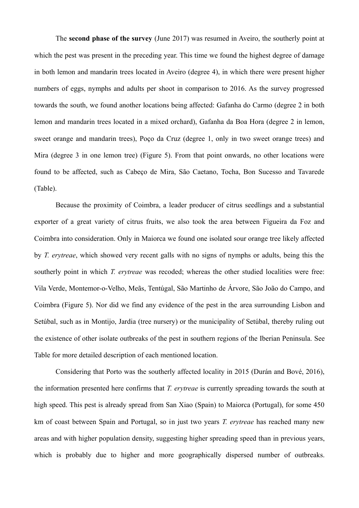The **second phase of the survey** (June 2017) was resumed in Aveiro, the southerly point at which the pest was present in the preceding year. This time we found the highest degree of damage in both lemon and mandarin trees located in Aveiro (degree 4), in which there were present higher numbers of eggs, nymphs and adults per shoot in comparison to 2016. As the survey progressed towards the south, we found another locations being affected: Gafanha do Carmo (degree 2 in both lemon and mandarin trees located in a mixed orchard), Gafanha da Boa Hora (degree 2 in lemon, sweet orange and mandarin trees), Poço da Cruz (degree 1, only in two sweet orange trees) and Mira (degree 3 in one lemon tree) (Figure 5). From that point onwards, no other locations were found to be affected, such as Cabeço de Mira, São Caetano, Tocha, Bon Sucesso and Tavarede (Table).

Because the proximity of Coimbra, a leader producer of citrus seedlings and a substantial exporter of a great variety of citrus fruits, we also took the area between Figueira da Foz and Coimbra into consideration. Only in Maiorca we found one isolated sour orange tree likely affected by *T. erytreae*, which showed very recent galls with no signs of nymphs or adults, being this the southerly point in which *T. erytreae* was recoded; whereas the other studied localities were free: Vila Verde, Montemor-o-Velho, Meãs, Tentúgal, São Martinho de Árvore, São João do Campo, and Coimbra (Figure 5). Nor did we find any evidence of the pest in the area surrounding Lisbon and Setúbal, such as in Montijo, Jardia (tree nursery) or the municipality of Setúbal, thereby ruling out the existence of other isolate outbreaks of the pest in southern regions of the Iberian Peninsula. See Table for more detailed description of each mentioned location.

Considering that Porto was the southerly affected locality in 2015 (Durán and Bové, 2016), the information presented here confirms that *T. erytreae* is currently spreading towards the south at high speed. This pest is already spread from San Xiao (Spain) to Maiorca (Portugal), for some 450 km of coast between Spain and Portugal, so in just two years *T. erytreae* has reached many new areas and with higher population density, suggesting higher spreading speed than in previous years, which is probably due to higher and more geographically dispersed number of outbreaks.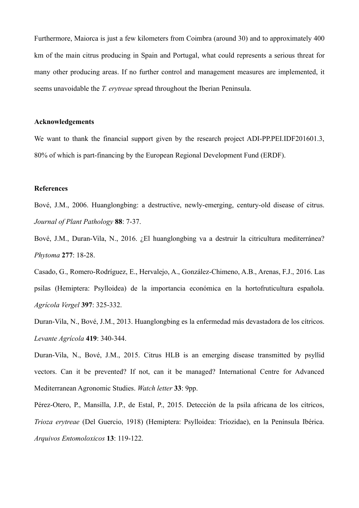Furthermore, Maiorca is just a few kilometers from Coimbra (around 30) and to approximately 400 km of the main citrus producing in Spain and Portugal, what could represents a serious threat for many other producing areas. If no further control and management measures are implemented, it seems unavoidable the *T. erytreae* spread throughout the Iberian Peninsula.

### **Acknowledgements**

We want to thank the financial support given by the research project ADI-PP.PEI.IDF201601.3, 80% of which is part-financing by the European Regional Development Fund (ERDF).

### **References**

Bové, J.M., 2006. Huanglongbing: a destructive, newly-emerging, century-old disease of citrus. *Journal of Plant Pathology* **88**: 7-37.

Bové, J.M., Duran-Vila, N., 2016. ¿El huanglongbing va a destruir la citricultura mediterránea? *Phytoma* **277**: 18-28.

Casado, G., Romero-Rodríguez, E., Hervalejo, A., González-Chimeno, A.B., Arenas, F.J., 2016. Las psilas (Hemiptera: Psylloidea) de la importancia económica en la hortofruticultura española. *Agrícola Vergel* **397**: 325-332.

Duran-Vila, N., Bové, J.M., 2013. Huanglongbing es la enfermedad más devastadora de los cítricos. *Levante Agrícola* **419**: 340-344.

Duran-Vila, N., Bové, J.M., 2015. Citrus HLB is an emerging disease transmitted by psyllid vectors. Can it be prevented? If not, can it be managed? International Centre for Advanced Mediterranean Agronomic Studies. *Watch letter* **33**: 9pp.

Pérez-Otero, P., Mansilla, J.P., de Estal, P., 2015. Detección de la psila africana de los cítricos, *Trioza erytreae* (Del Guercio, 1918) (Hemiptera: Psylloidea: Triozidae), en la Península Ibérica. *Arquivos Entomoloxicos* **13**: 119-122.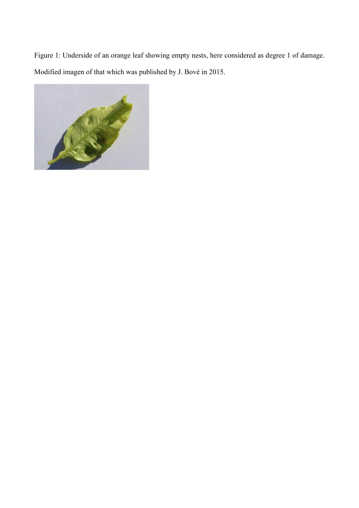Figure 1: Underside of an orange leaf showing empty nests, here considered as degree 1 of damage. Modified imagen of that which was published by J. Bové in 2015.

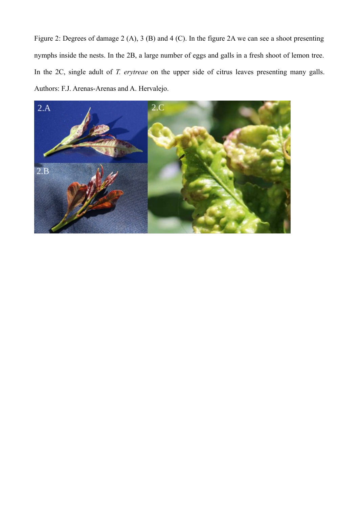Figure 2: Degrees of damage 2 (A), 3 (B) and 4 (C). In the figure 2A we can see a shoot presenting nymphs inside the nests. In the 2B, a large number of eggs and galls in a fresh shoot of lemon tree. In the 2C, single adult of *T. erytreae* on the upper side of citrus leaves presenting many galls. Authors: F.J. Arenas-Arenas and A. Hervalejo.

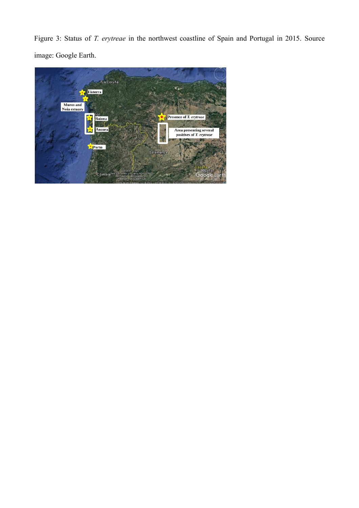Figure 3: Status of *T. erytreae* in the northwest coastline of Spain and Portugal in 2015. Source image: Google Earth.

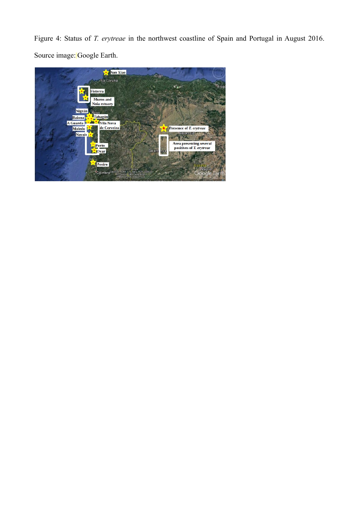Figure 4: Status of *T. erytreae* in the northwest coastline of Spain and Portugal in August 2016. Source image: Google Earth.

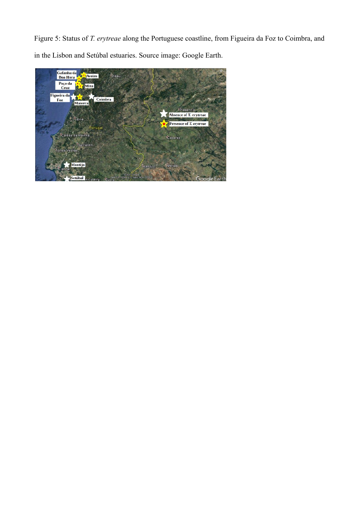Figure 5: Status of *T. erytreae* along the Portuguese coastline, from Figueira da Foz to Coimbra, and in the Lisbon and Setúbal estuaries. Source image: Google Earth.

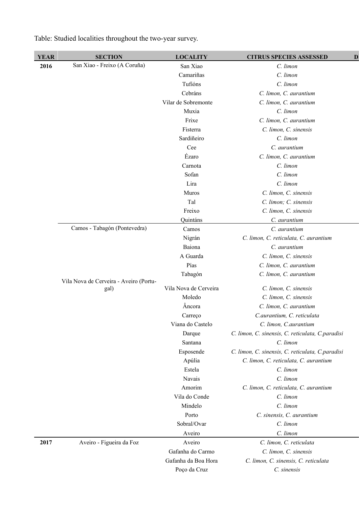| <b>YEAR</b> | <b>SECTION</b>                         | <b>LOCALITY</b>       | <b>CITRUS SPECIES ASSESSED</b><br>$\mathbf{D}$   |
|-------------|----------------------------------------|-----------------------|--------------------------------------------------|
| 2016        | San Xiao - Freixo (A Coruña)           | San Xiao              | C. limon                                         |
|             |                                        | Camariñas             | C. limon                                         |
|             |                                        | Tufións               | C. limon                                         |
|             |                                        | Cebráns               | C. limon, C. aurantium                           |
|             |                                        | Vilar de Sobremonte   | C. limon, C. aurantium                           |
|             |                                        | Muxia                 | C. limon                                         |
|             |                                        | Frixe                 | C. limon, C. aurantium                           |
|             |                                        | Fisterra              | C. limon, C. sinensis                            |
|             |                                        | Sardiñeiro            | C. limon                                         |
|             |                                        | Cee                   | C. aurantium                                     |
|             |                                        | Ézaro                 | C. limon, C. aurantium                           |
|             |                                        | Carnota               | C. limon                                         |
|             |                                        | Sofan                 | C. limon                                         |
|             |                                        | Lira                  | C. limon                                         |
|             |                                        | Muros                 | C. limon, C. sinensis                            |
|             |                                        | Tal                   | C. limon; C. sinensis                            |
|             |                                        | Freixo                | C. limon, C. sinensis                            |
|             |                                        | Quintáns              | C. aurantium                                     |
|             | Camos - Tabagón (Pontevedra)           | Camos                 | C. aurantium                                     |
|             |                                        | Nigrán                | C. limon, C. reticulata, C. aurantium            |
|             |                                        | Baiona                | C. aurantium                                     |
|             |                                        | A Guarda              | C. limon, C. sinensis                            |
|             |                                        | Pías                  | C. limon, C. aurantium                           |
|             |                                        | Tabagón               | C. limon, C. aurantium                           |
|             | Vila Nova de Cerveira - Aveiro (Portu- |                       |                                                  |
|             | gal)                                   | Vila Nova de Cerveira | C. limon, C. sinensis                            |
|             |                                        | Moledo                | C. limon, C. sinensis                            |
|             |                                        | Âncora                | C. limon, C. aurantium                           |
|             |                                        | Carreço               | C.aurantium, C. reticulata                       |
|             |                                        | Viana do Castelo      | C. limon, C.aurantium                            |
|             |                                        | Darque                | C. limon, C. sinensis, C. reticulata, C.paradisi |
|             |                                        | Santana               | C. limon                                         |
|             |                                        | Esposende             | C. limon, C. sinensis, C. reticulata, C.paradisi |
|             |                                        | Apúlia                | C. limon, C. reticulata, C. aurantium            |
|             |                                        | Estela                | C. limon                                         |
|             |                                        | Navais                | C. limon                                         |
|             |                                        | Amorim                | C. limon, C. reticulata, C. aurantium            |
|             |                                        | Vila do Conde         | C. limon                                         |
|             |                                        | Mindelo               | C. limon                                         |
|             |                                        | Porto                 | C. sinensis, C. aurantium                        |
|             |                                        | Sobral/Ovar           | C. limon                                         |
|             |                                        | Aveiro                | C. limon                                         |
| 2017        | Aveiro - Figueira da Foz               | Aveiro                | C. limon, C. reticulata                          |
|             |                                        | Gafanha do Carmo      | C. limon, C. sinensis                            |
|             |                                        | Gafanha da Boa Hora   | C. limon, C. sinensis, C. reticulata             |
|             |                                        | Poço da Cruz          | C. sinensis                                      |

Table: Studied localities throughout the two-year survey.